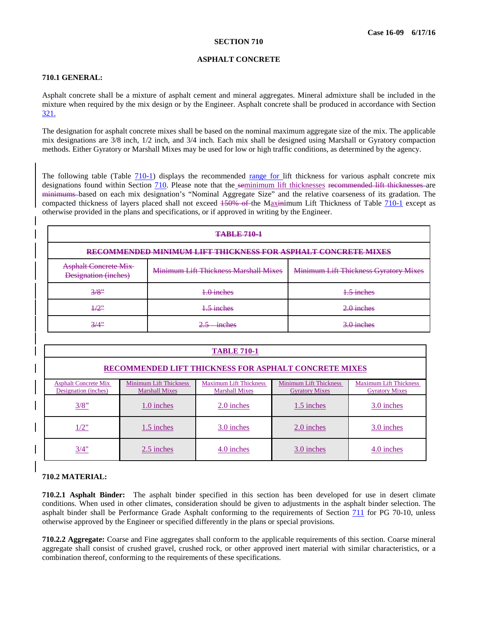### <span id="page-0-0"></span>**ASPHALT CONCRETE**

## <span id="page-0-1"></span>**710.1 GENERAL:**

Asphalt concrete shall be a mixture of asphalt cement and mineral aggregates. Mineral admixture shall be included in the mixture when required by the mix design or by the Engineer. Asphalt concrete shall be produced in accordance with Section 321.

The designation for asphalt concrete mixes shall be based on the nominal maximum aggregate size of the mix. The applicable mix designations are 3/8 inch, 1/2 inch, and 3/4 inch. Each mix shall be designed using Marshall or Gyratory compaction methods. Either Gyratory or Marshall Mixes may be used for low or high traffic conditions, as determined by the agency.

The following table (Table  $710-1$ ) displays the recommended range for lift thickness for various asphalt concrete mix designations found within Section [710.](#page-0-1) Please note that the seminimum lift thicknesses recommended lift thicknesses are minimums based on each mix designation's "Nominal Aggregate Size" and the relative coarseness of its gradation. The compacted thickness of layers placed shall not exceed  $150\%$  of the Maxinimum Lift Thickness of Table [710-1](#page-0-0) except as otherwise provided in the plans and specifications, or if approved in writing by the Engineer.

| <b>TABLE 710-1</b>                                                   |                                       |                                              |  |  |
|----------------------------------------------------------------------|---------------------------------------|----------------------------------------------|--|--|
| <b>RECOMMENDED MINIMUM LIFT THICKNESS FOR ASPHALT CONCRETE MIXES</b> |                                       |                                              |  |  |
| <b>Asphalt Concrete Mix-</b><br>Designation (inches)                 | Minimum Lift Thickness Marshall Mixes | <b>Minimum Lift Thickness Gyratory Mixes</b> |  |  |
| 3/8"                                                                 | 1.0 inches                            | 1.5 inches                                   |  |  |
| $\frac{1}{2}$ "                                                      | 1.5 inches                            | $2.0$ inches                                 |  |  |
| 3/4"                                                                 | inchae<br><b>BELVE BAYE</b>           | $3.0$ inches                                 |  |  |

| <b>TABLE 710-1</b>                                           |                                                                                                                                                                                                                                      |            |              |              |  |  |  |  |
|--------------------------------------------------------------|--------------------------------------------------------------------------------------------------------------------------------------------------------------------------------------------------------------------------------------|------------|--------------|--------------|--|--|--|--|
| <b>RECOMMENDED LIFT THICKNESS FOR ASPHALT CONCRETE MIXES</b> |                                                                                                                                                                                                                                      |            |              |              |  |  |  |  |
| <b>Asphalt Concrete Mix</b><br>Designation (inches)          | <b>Minimum Lift Thickness</b><br><b>Minimum Lift Thickness</b><br><b>Maximum Lift Thickness</b><br><b>Maximum Lift Thickness</b><br><b>Marshall Mixes</b><br><b>Marshall Mixes</b><br><b>Gyratory Mixes</b><br><b>Gyratory Mixes</b> |            |              |              |  |  |  |  |
| $3/8$ "                                                      | $1.0$ inches                                                                                                                                                                                                                         | 2.0 inches | $1.5$ inches | $3.0$ inches |  |  |  |  |
| 1/2"                                                         | 1.5 inches                                                                                                                                                                                                                           | 3.0 inches | 2.0 inches   | 3.0 inches   |  |  |  |  |
| 3/4"                                                         | 2.5 inches                                                                                                                                                                                                                           | 4.0 inches | 3.0 inches   | 4.0 inches   |  |  |  |  |

# **710.2 MATERIAL:**

**710.2.1 Asphalt Binder:** The asphalt binder specified in this section has been developed for use in desert climate conditions. When used in other climates, consideration should be given to adjustments in the asphalt binder selection. The asphalt binder shall be Performance Grade Asphalt conforming to the requirements of Section 711 for PG 70-10, unless otherwise approved by the Engineer or specified differently in the plans or special provisions.

**710.2.2 Aggregate:** Coarse and Fine aggregates shall conform to the applicable requirements of this section. Coarse mineral aggregate shall consist of crushed gravel, crushed rock, or other approved inert material with similar characteristics, or a combination thereof, conforming to the requirements of these specifications.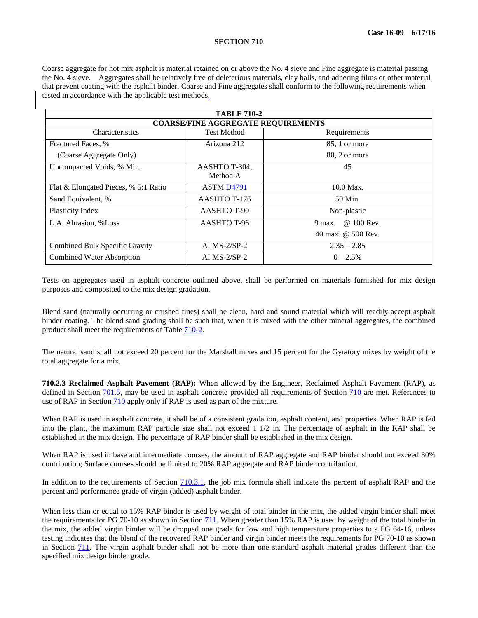#### **SECTION 710**

Coarse aggregate for hot mix asphalt is material retained on or above the No. 4 sieve and Fine aggregate is material passing the No. 4 sieve. Aggregates shall be relatively free of deleterious materials, clay balls, and adhering films or other material that prevent coating with the asphalt binder. Coarse and Fine aggregates shall conform to the following requirements when tested in accordance with the applicable test methods.

| <b>TABLE 710-2</b>                        |                        |                      |  |  |  |
|-------------------------------------------|------------------------|----------------------|--|--|--|
| <b>COARSE/FINE AGGREGATE REQUIREMENTS</b> |                        |                      |  |  |  |
| Characteristics                           | <b>Test Method</b>     | Requirements         |  |  |  |
| Fractured Faces, %                        | Arizona 212            | 85, 1 or more        |  |  |  |
| (Coarse Aggregate Only)                   |                        | 80, 2 or more        |  |  |  |
| Uncompacted Voids, % Min.                 | AASHTO T-304,          | 45                   |  |  |  |
|                                           | Method A               |                      |  |  |  |
| Flat & Elongated Pieces, % 5:1 Ratio      | ASTM D <sub>4791</sub> | $10.0$ Max.          |  |  |  |
| Sand Equivalent, %                        | AASHTO T-176           | 50 Min.              |  |  |  |
| Plasticity Index                          | AASHTO T-90            | Non-plastic          |  |  |  |
| L.A. Abrasion, %Loss                      | AASHTO T-96            | @ 100 Rev.<br>9 max. |  |  |  |
|                                           |                        | 40 max. @ 500 Rev.   |  |  |  |
| Combined Bulk Specific Gravity            | AI $MS-2/SP-2$         | $2.35 - 2.85$        |  |  |  |
| <b>Combined Water Absorption</b>          | AI $MS-2/SP-2$         | $0 - 2.5%$           |  |  |  |

Tests on aggregates used in asphalt concrete outlined above, shall be performed on materials furnished for mix design purposes and composited to the mix design gradation.

Blend sand (naturally occurring or crushed fines) shall be clean, hard and sound material which will readily accept asphalt binder coating. The blend sand grading shall be such that, when it is mixed with the other mineral aggregates, the combined product shall meet the requirements of Table [710-2.](#page-2-0)

The natural sand shall not exceed 20 percent for the Marshall mixes and 15 percent for the Gyratory mixes by weight of the total aggregate for a mix.

**710.2.3 Reclaimed Asphalt Pavement (RAP):** When allowed by the Engineer, Reclaimed Asphalt Pavement (RAP), as defined in Section <u>701.5</u>, may be used in asphalt concrete provided all requirements of Section [710](#page-0-1) are met. References to use of RAP in Section [710](#page-0-1) apply only if RAP is used as part of the mixture.

When RAP is used in asphalt concrete, it shall be of a consistent gradation, asphalt content, and properties. When RAP is fed into the plant, the maximum RAP particle size shall not exceed 1 1/2 in. The percentage of asphalt in the RAP shall be established in the mix design. The percentage of RAP binder shall be established in the mix design.

When RAP is used in base and intermediate courses, the amount of RAP aggregate and RAP binder should not exceed 30% contribution; Surface courses should be limited to 20% RAP aggregate and RAP binder contribution.

In addition to the requirements of Section [710.3.1,](#page-2-1) the job mix formula shall indicate the percent of asphalt RAP and the percent and performance grade of virgin (added) asphalt binder.

When less than or equal to 15% RAP binder is used by weight of total binder in the mix, the added virgin binder shall meet the requirements for PG 70-10 as shown in Section 711. When greater than 15% RAP is used by weight of the total binder in the mix, the added virgin binder will be dropped one grade for low and high temperature properties to a PG 64-16, unless testing indicates that the blend of the recovered RAP binder and virgin binder meets the requirements for PG 70-10 as shown in Section 711. The virgin asphalt binder shall not be more than one standard asphalt material grades different than the specified mix design binder grade.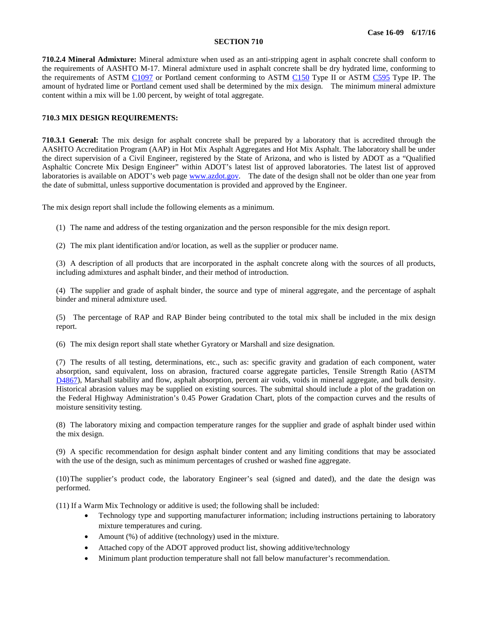### **SECTION 710**

<span id="page-2-0"></span>**710.2.4 Mineral Admixture:** Mineral admixture when used as an anti-stripping agent in asphalt concrete shall conform to the requirements of AASHTO M-17. Mineral admixture used in asphalt concrete shall be dry hydrated lime, conforming to the requirements of ASTM [C1097](http://www.astm.org/cgi-bin/resolver.cgi?C1097) or Portland cement conforming to ASTM [C150](http://www.astm.org/cgi-bin/resolver.cgi?C150) Type II or ASTM [C595](http://www.astm.org/cgi-bin/resolver.cgi?C595) Type IP. The amount of hydrated lime or Portland cement used shall be determined by the mix design. The minimum mineral admixture content within a mix will be 1.00 percent, by weight of total aggregate.

# <span id="page-2-1"></span>**710.3 MIX DESIGN REQUIREMENTS:**

**710.3.1 General:** The mix design for asphalt concrete shall be prepared by a laboratory that is accredited through the AASHTO Accreditation Program (AAP) in Hot Mix Asphalt Aggregates and Hot Mix Asphalt. The laboratory shall be under the direct supervision of a Civil Engineer, registered by the State of Arizona, and who is listed by ADOT as a "Qualified Asphaltic Concrete Mix Design Engineer" within ADOT's latest list of approved laboratories. The latest list of approved laboratories is available on ADOT's web page [www.azdot.gov.](http://www.azdot.gov/) The date of the design shall not be older than one year from the date of submittal, unless supportive documentation is provided and approved by the Engineer.

The mix design report shall include the following elements as a minimum.

- (1) The name and address of the testing organization and the person responsible for the mix design report.
- (2) The mix plant identification and/or location, as well as the supplier or producer name.

(3) A description of all products that are incorporated in the asphalt concrete along with the sources of all products, including admixtures and asphalt binder, and their method of introduction.

(4) The supplier and grade of asphalt binder, the source and type of mineral aggregate, and the percentage of asphalt binder and mineral admixture used.

(5) The percentage of RAP and RAP Binder being contributed to the total mix shall be included in the mix design report.

(6) The mix design report shall state whether Gyratory or Marshall and size designation.

(7) The results of all testing, determinations, etc., such as: specific gravity and gradation of each component, water absorption, sand equivalent, loss on abrasion, fractured coarse aggregate particles, Tensile Strength Ratio (ASTM [D4867\)](http://www.astm.org/cgi-bin/resolver.cgi?D4867), Marshall stability and flow, asphalt absorption, percent air voids, voids in mineral aggregate, and bulk density. Historical abrasion values may be supplied on existing sources. The submittal should include a plot of the gradation on the Federal Highway Administration's 0.45 Power Gradation Chart, plots of the compaction curves and the results of moisture sensitivity testing.

(8) The laboratory mixing and compaction temperature ranges for the supplier and grade of asphalt binder used within the mix design.

(9) A specific recommendation for design asphalt binder content and any limiting conditions that may be associated with the use of the design, such as minimum percentages of crushed or washed fine aggregate.

(10)The supplier's product code, the laboratory Engineer's seal (signed and dated), and the date the design was performed.

(11) If a Warm Mix Technology or additive is used; the following shall be included:

- Technology type and supporting manufacturer information; including instructions pertaining to laboratory mixture temperatures and curing.
- Amount (%) of additive (technology) used in the mixture.
- Attached copy of the ADOT approved product list, showing additive/technology
- Minimum plant production temperature shall not fall below manufacturer's recommendation.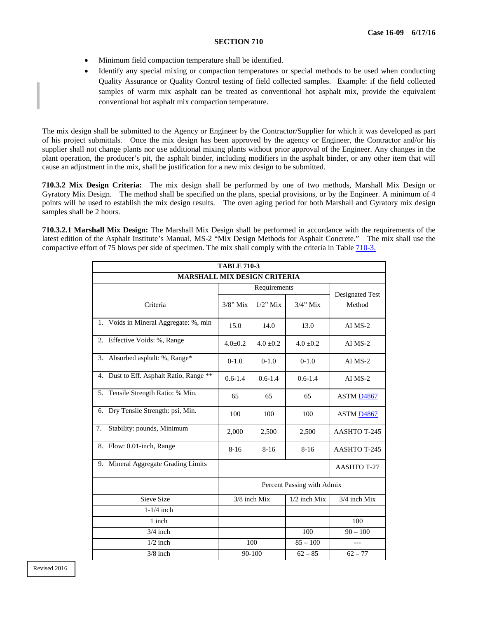## **SECTION 710**

- Minimum field compaction temperature shall be identified.
- Identify any special mixing or compaction temperatures or special methods to be used when conducting Quality Assurance or Quality Control testing of field collected samples. Example: if the field collected samples of warm mix asphalt can be treated as conventional hot asphalt mix, provide the equivalent conventional hot asphalt mix compaction temperature.

The mix design shall be submitted to the Agency or Engineer by the Contractor/Supplier for which it was developed as part of his project submittals. Once the mix design has been approved by the agency or Engineer, the Contractor and/or his supplier shall not change plants nor use additional mixing plants without prior approval of the Engineer. Any changes in the plant operation, the producer's pit, the asphalt binder, including modifiers in the asphalt binder, or any other item that will cause an adjustment in the mix, shall be justification for a new mix design to be submitted.

**710.3.2 Mix Design Criteria:** The mix design shall be performed by one of two methods, Marshall Mix Design or Gyratory Mix Design. The method shall be specified on the plans, special provisions, or by the Engineer. A minimum of 4 points will be used to establish the mix design results. The oven aging period for both Marshall and Gyratory mix design samples shall be 2 hours.

**710.3.2.1 Marshall Mix Design:** The Marshall Mix Design shall be performed in accordance with the requirements of the latest edition of the Asphalt Institute's Manual, MS-2 "Mix Design Methods for Asphalt Concrete." The mix shall use the compactive effort of 75 blows per side of specimen. The mix shall comply with the criteria in Table [710-3.](#page-3-0)

<span id="page-3-0"></span>

| <b>TABLE 710-3</b>                      |                            |               |                 |                       |
|-----------------------------------------|----------------------------|---------------|-----------------|-----------------------|
| <b>MARSHALL MIX DESIGN CRITERIA</b>     |                            |               |                 |                       |
|                                         | Requirements               |               | Designated Test |                       |
| Criteria                                | $3/8$ " Mix                | $1/2$ " Mix   | $3/4$ " Mix     | Method                |
| 1. Voids in Mineral Aggregate: %, min   | 15.0                       | 14.0          | 13.0            | $AI$ MS-2             |
| Effective Voids: %, Range<br>2.         | $4.0 \pm 0.2$              | $4.0 \pm 0.2$ | $4.0 \pm 0.2$   | $AI$ MS-2             |
| Absorbed asphalt: %, Range*<br>3.       | $0-1.0$                    | $0-1.0$       | $0-1.0$         | AI MS-2               |
| 4. Dust to Eff. Asphalt Ratio, Range ** | $0.6 - 1.4$                | $0.6 - 1.4$   | $0.6 - 1.4$     | $AI$ MS-2             |
| Tensile Strength Ratio: % Min.<br>5.    | 65                         | 65            | 65              | ASTM D4867            |
| 6. Dry Tensile Strength: psi, Min.      | 100                        | 100           | 100             | ASTM <sub>D4867</sub> |
| Stability: pounds, Minimum<br>7.        | 2,000                      | 2,500         | 2,500           | <b>AASHTO T-245</b>   |
| 8. Flow: 0.01-inch, Range               | $8-16$                     | $8 - 16$      | $8-16$          | AASHTO T-245          |
| 9. Mineral Aggregate Grading Limits     | AASHTO T-27                |               |                 |                       |
|                                         | Percent Passing with Admix |               |                 |                       |
| Sieve Size                              |                            | 3/8 inch Mix  | 1/2 inch Mix    | 3/4 inch Mix          |
| $1-1/4$ inch                            |                            |               |                 |                       |
| 1 inch                                  |                            |               |                 | 100                   |
| $3/4$ inch                              |                            |               | 100             | $90 - 100$            |
| $1/2$ inch                              |                            | 100           | $85 - 100$      | $---$                 |
| $3/8$ inch                              | 90-100                     |               | $62 - 85$       | $62 - 77$             |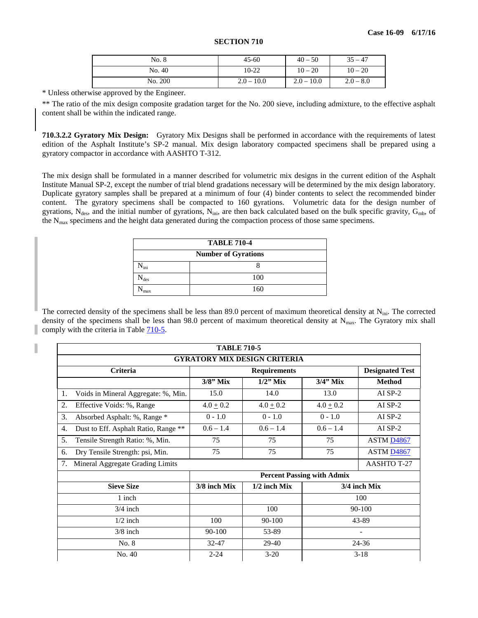| <b>SECTION 710</b> |  |
|--------------------|--|
|--------------------|--|

| No. 8   | $45 - 60$    | $40 - 50$    | $35 - 47$   |
|---------|--------------|--------------|-------------|
| No. 40  | 10-22        | $10 - 20$    | $10 - 20$   |
| No. 200 | $2.0 - 10.0$ | $2.0 - 10.0$ | $2.0 - 8.0$ |

\* Unless otherwise approved by the Engineer.

\*\* The ratio of the mix design composite gradation target for the No. 200 sieve, including admixture, to the effective asphalt content shall be within the indicated range.

**710.3.2.2 Gyratory Mix Design:** Gyratory Mix Designs shall be performed in accordance with the requirements of latest edition of the Asphalt Institute's SP-2 manual. Mix design laboratory compacted specimens shall be prepared using a gyratory compactor in accordance with AASHTO T-312.

The mix design shall be formulated in a manner described for volumetric mix designs in the current edition of the Asphalt Institute Manual SP-2, except the number of trial blend gradations necessary will be determined by the mix design laboratory. Duplicate gyratory samples shall be prepared at a minimum of four (4) binder contents to select the recommended binder content. The gyratory specimens shall be compacted to 160 gyrations. Volumetric data for the design number of gyrations,  $N_{des}$ , and the initial number of gyrations,  $N_{ini}$ , are then back calculated based on the bulk specific gravity,  $G_{mb}$ , of the N<sub>max</sub> specimens and the height data generated during the compaction process of those same specimens.

| <b>TABLE 710-4</b>         |     |  |  |  |
|----------------------------|-----|--|--|--|
| <b>Number of Gyrations</b> |     |  |  |  |
| N <sub>ini</sub>           |     |  |  |  |
| des                        | 100 |  |  |  |
| max                        | 160 |  |  |  |

The corrected density of the specimens shall be less than 89.0 percent of maximum theoretical density at  $N_{\text{ini}}$ . The corrected density of the specimens shall be less than 98.0 percent of maximum theoretical density at  $N_{\text{max}}$ . The Gyratory mix shall comply with the criteria in Table  $710-5$ .

<span id="page-4-0"></span>

| <b>TABLE 710-5</b>                         |                     |                |                                   |                        |  |
|--------------------------------------------|---------------------|----------------|-----------------------------------|------------------------|--|
| <b>GYRATORY MIX DESIGN CRITERIA</b>        |                     |                |                                   |                        |  |
| Criteria                                   | <b>Requirements</b> |                |                                   | <b>Designated Test</b> |  |
|                                            | $3/8$ " Mix         | $1/2$ " Mix    | $3/4$ " Mix                       | <b>Method</b>          |  |
| Voids in Mineral Aggregate: %, Min.<br>1.  | 15.0                | 14.0           | 13.0                              | AI SP-2                |  |
| 2.<br>Effective Voids: %, Range            | $4.0 \pm 0.2$       | $4.0 \pm 0.2$  | $4.0 \pm 0.2$                     | AI SP-2                |  |
| 3.<br>Absorbed Asphalt: %, Range *         | $0 - 1.0$           | $0 - 1.0$      | $0 - 1.0$                         | AI SP-2                |  |
| Dust to Eff. Asphalt Ratio, Range **<br>4. | $0.6 - 1.4$         | $0.6 - 1.4$    | $0.6 - 1.4$                       | $AI$ SP-2              |  |
| 5.<br>Tensile Strength Ratio: %, Min.      | 75                  | 75             | 75                                | <b>ASTM D4867</b>      |  |
| Dry Tensile Strength: psi, Min.<br>6.      | 75                  | 75             | 75                                | <b>ASTM D4867</b>      |  |
| Mineral Aggregate Grading Limits<br>7.     |                     |                |                                   | <b>AASHTO T-27</b>     |  |
|                                            |                     |                | <b>Percent Passing with Admix</b> |                        |  |
| <b>Sieve Size</b>                          | 3/8 inch Mix        | $1/2$ inch Mix | 3/4 inch Mix                      |                        |  |
| 1 inch                                     |                     |                |                                   | 100                    |  |
| $3/4$ inch                                 |                     | 100            | 90-100                            |                        |  |
| $1/2$ inch                                 | 100                 | 90-100         | 43-89                             |                        |  |
| $3/8$ inch                                 | $90 - 100$          | 53-89          |                                   |                        |  |
| No. 8                                      | 32-47               | 29-40          | 24-36                             |                        |  |
| No. 40                                     | $2 - 24$            | $3-20$         | $3-18$                            |                        |  |